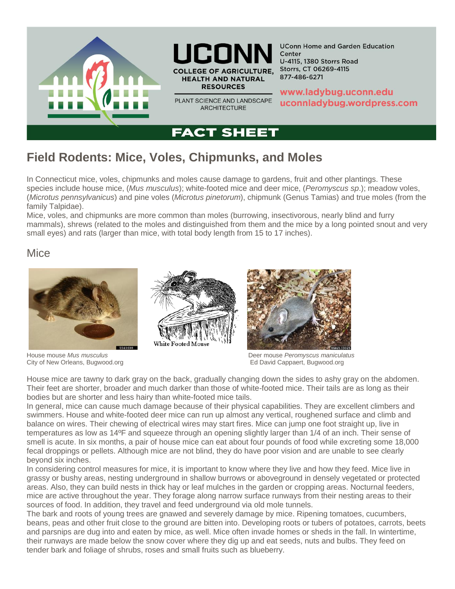



PLANT SCIENCE AND LANDSCAPE **ARCHITECTURE** 

**UConn Home and Garden Education** Center **U-4115, 1380 Storrs Road** Storrs, CT 06269-4115 877-486-6271

www.ladybug.uconn.edu uconnladybug.wordpress.com

# **FACT SHEET**

# **Field Rodents: Mice, Voles, Chipmunks, and Moles**

In Connecticut mice, voles, chipmunks and moles cause damage to gardens, fruit and other plantings. These species include house mice, (*Mus musculus*); white-footed mice and deer mice, (*Peromyscus sp*.); meadow voles, (*Microtus pennsylvanicus*) and pine voles (*Microtus pinetorum*), chipmunk (Genus Tamias) and true moles (from the family Talpidae).

Mice, voles, and chipmunks are more common than moles (burrowing, insectivorous, nearly blind and furry mammals), shrews (related to the moles and distinguished from them and the mice by a long pointed snout and very small eyes) and rats (larger than mice, with total body length from 15 to 17 inches).

## Mice



City of New Orleans, Bugwood.org **Ed David Cappaert, Bugwood.org** Ed David Cappaert, Bugwood.org



House mouse *Mus musculus* Deer mouse *Peromyscus maniculatus*

House mice are tawny to dark gray on the back, gradually changing down the sides to ashy gray on the abdomen. Their feet are shorter, broader and much darker than those of white-footed mice. Their tails are as long as their bodies but are shorter and less hairy than white-footed mice tails.

In general, mice can cause much damage because of their physical capabilities. They are excellent climbers and swimmers. House and white-footed deer mice can run up almost any vertical, roughened surface and climb and balance on wires. Their chewing of electrical wires may start fires. Mice can jump one foot straight up, live in temperatures as low as 14ºF and squeeze through an opening slightly larger than 1/4 of an inch. Their sense of smell is acute. In six months, a pair of house mice can eat about four pounds of food while excreting some 18,000 fecal droppings or pellets. Although mice are not blind, they do have poor vision and are unable to see clearly beyond six inches.

In considering control measures for mice, it is important to know where they live and how they feed. Mice live in grassy or bushy areas, nesting underground in shallow burrows or aboveground in densely vegetated or protected areas. Also, they can build nests in thick hay or leaf mulches in the garden or cropping areas. Nocturnal feeders, mice are active throughout the year. They forage along narrow surface runways from their nesting areas to their sources of food. In addition, they travel and feed underground via old mole tunnels.

The bark and roots of young trees are gnawed and severely damage by mice. Ripening tomatoes, cucumbers, beans, peas and other fruit close to the ground are bitten into. Developing roots or tubers of potatoes, carrots, beets and parsnips are dug into and eaten by mice, as well. Mice often invade homes or sheds in the fall. In wintertime, their runways are made below the snow cover where they dig up and eat seeds, nuts and bulbs. They feed on tender bark and foliage of shrubs, roses and small fruits such as blueberry.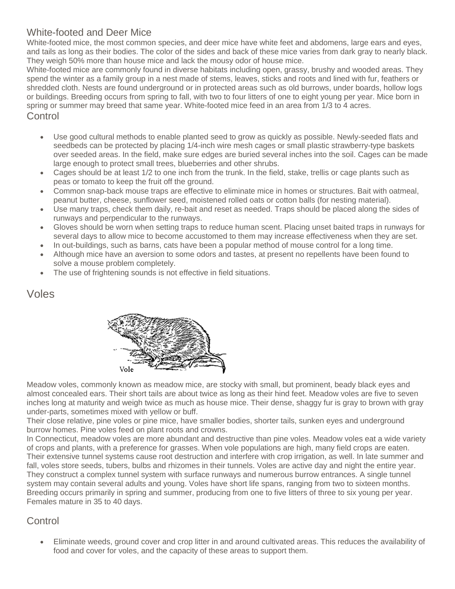## White-footed and Deer Mice

White-footed mice, the most common species, and deer mice have white feet and abdomens, large ears and eyes, and tails as long as their bodies. The color of the sides and back of these mice varies from dark gray to nearly black. They weigh 50% more than house mice and lack the mousy odor of house mice.

White-footed mice are commonly found in diverse habitats including open, grassy, brushy and wooded areas. They spend the winter as a family group in a nest made of stems, leaves, sticks and roots and lined with fur, feathers or shredded cloth. Nests are found underground or in protected areas such as old burrows, under boards, hollow logs or buildings. Breeding occurs from spring to fall, with two to four litters of one to eight young per year. Mice born in spring or summer may breed that same year. White-footed mice feed in an area from 1/3 to 4 acres. Control

- Use good cultural methods to enable planted seed to grow as quickly as possible. Newly-seeded flats and seedbeds can be protected by placing 1/4-inch wire mesh cages or small plastic strawberry-type baskets over seeded areas. In the field, make sure edges are buried several inches into the soil. Cages can be made large enough to protect small trees, blueberries and other shrubs.
- Cages should be at least 1/2 to one inch from the trunk. In the field, stake, trellis or cage plants such as peas or tomato to keep the fruit off the ground.
- Common snap-back mouse traps are effective to eliminate mice in homes or structures. Bait with oatmeal, peanut butter, cheese, sunflower seed, moistened rolled oats or cotton balls (for nesting material).
- Use many traps, check them daily, re-bait and reset as needed. Traps should be placed along the sides of runways and perpendicular to the runways.
- Gloves should be worn when setting traps to reduce human scent. Placing unset baited traps in runways for several days to allow mice to become accustomed to them may increase effectiveness when they are set.
- In out-buildings, such as barns, cats have been a popular method of mouse control for a long time.
- Although mice have an aversion to some odors and tastes, at present no repellents have been found to solve a mouse problem completely.
- The use of frightening sounds is not effective in field situations.

## Voles



Meadow voles, commonly known as meadow mice, are stocky with small, but prominent, beady black eyes and almost concealed ears. Their short tails are about twice as long as their hind feet. Meadow voles are five to seven inches long at maturity and weigh twice as much as house mice. Their dense, shaggy fur is gray to brown with gray under-parts, sometimes mixed with yellow or buff.

Their close relative, pine voles or pine mice, have smaller bodies, shorter tails, sunken eyes and underground burrow homes. Pine voles feed on plant roots and crowns.

In Connecticut, meadow voles are more abundant and destructive than pine voles. Meadow voles eat a wide variety of crops and plants, with a preference for grasses. When vole populations are high, many field crops are eaten. Their extensive tunnel systems cause root destruction and interfere with crop irrigation, as well. In late summer and fall, voles store seeds, tubers, bulbs and rhizomes in their tunnels. Voles are active day and night the entire year. They construct a complex tunnel system with surface runways and numerous burrow entrances. A single tunnel system may contain several adults and young. Voles have short life spans, ranging from two to sixteen months. Breeding occurs primarily in spring and summer, producing from one to five litters of three to six young per year. Females mature in 35 to 40 days.

#### **Control**

• Eliminate weeds, ground cover and crop litter in and around cultivated areas. This reduces the availability of food and cover for voles, and the capacity of these areas to support them.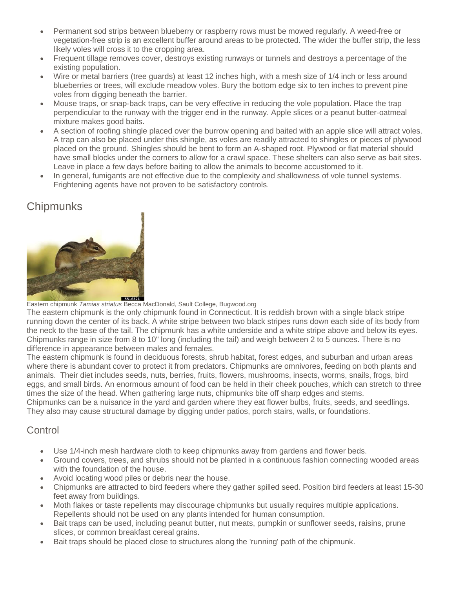- Permanent sod strips between blueberry or raspberry rows must be mowed regularly. A weed-free or vegetation-free strip is an excellent buffer around areas to be protected. The wider the buffer strip, the less likely voles will cross it to the cropping area.
- Frequent tillage removes cover, destroys existing runways or tunnels and destroys a percentage of the existing population.
- Wire or metal barriers (tree guards) at least 12 inches high, with a mesh size of 1/4 inch or less around blueberries or trees, will exclude meadow voles. Bury the bottom edge six to ten inches to prevent pine voles from digging beneath the barrier.
- Mouse traps, or snap-back traps, can be very effective in reducing the vole population. Place the trap perpendicular to the runway with the trigger end in the runway. Apple slices or a peanut butter-oatmeal mixture makes good baits.
- A section of roofing shingle placed over the burrow opening and baited with an apple slice will attract voles. A trap can also be placed under this shingle, as voles are readily attracted to shingles or pieces of plywood placed on the ground. Shingles should be bent to form an A-shaped root. Plywood or flat material should have small blocks under the corners to allow for a crawl space. These shelters can also serve as bait sites. Leave in place a few days before baiting to allow the animals to become accustomed to it.
- In general, fumigants are not effective due to the complexity and shallowness of vole tunnel systems. Frightening agents have not proven to be satisfactory controls.

# **Chipmunks**



Eastern chipmunk *Tamias striatus* Becca MacDonald, Sault College, Bugwood.org

The eastern chipmunk is the only chipmunk found in Connecticut. It is reddish brown with a single black stripe running down the center of its back. A white stripe between two black stripes runs down each side of its body from the neck to the base of the tail. The chipmunk has a white underside and a white stripe above and below its eyes. Chipmunks range in size from 8 to 10" long (including the tail) and weigh between 2 to 5 ounces. There is no difference in appearance between males and females.

The eastern chipmunk is found in deciduous forests, shrub habitat, forest edges, and suburban and urban areas where there is abundant cover to protect it from predators. Chipmunks are omnivores, feeding on both plants and animals. Their diet includes seeds, nuts, berries, fruits, flowers, mushrooms, insects, worms, snails, frogs, bird eggs, and small birds. An enormous amount of food can be held in their cheek pouches, which can stretch to three times the size of the head. When gathering large nuts, chipmunks bite off sharp edges and stems.

Chipmunks can be a nuisance in the yard and garden where they eat flower bulbs, fruits, seeds, and seedlings. They also may cause structural damage by digging under patios, porch stairs, walls, or foundations.

## **Control**

- Use 1/4-inch mesh hardware cloth to keep chipmunks away from gardens and flower beds.
- Ground covers, trees, and shrubs should not be planted in a continuous fashion connecting wooded areas with the foundation of the house.
- Avoid locating wood piles or debris near the house.
- Chipmunks are attracted to bird feeders where they gather spilled seed. Position bird feeders at least 15-30 feet away from buildings.
- Moth flakes or taste repellents may discourage chipmunks but usually requires multiple applications. Repellents should not be used on any plants intended for human consumption.
- Bait traps can be used, including peanut butter, nut meats, pumpkin or sunflower seeds, raisins, prune slices, or common breakfast cereal grains.
- Bait traps should be placed close to structures along the 'running' path of the chipmunk.